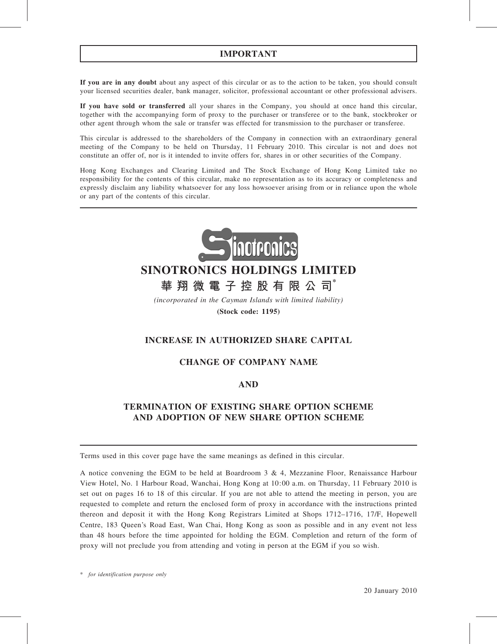# IMPORTANT

If you are in any doubt about any aspect of this circular or as to the action to be taken, you should consult your licensed securities dealer, bank manager, solicitor, professional accountant or other professional advisers.

If you have sold or transferred all your shares in the Company, you should at once hand this circular, together with the accompanying form of proxy to the purchaser or transferee or to the bank, stockbroker or other agent through whom the sale or transfer was effected for transmission to the purchaser or transferee.

This circular is addressed to the shareholders of the Company in connection with an extraordinary general meeting of the Company to be held on Thursday, 11 February 2010. This circular is not and does not constitute an offer of, nor is it intended to invite offers for, shares in or other securities of the Company.

Hong Kong Exchanges and Clearing Limited and The Stock Exchange of Hong Kong Limited take no responsibility for the contents of this circular, make no representation as to its accuracy or completeness and expressly disclaim any liability whatsoever for any loss howsoever arising from or in reliance upon the whole or any part of the contents of this circular.



# SINOTRONICS HOLDINGS LIMITED

# 華 翔 微 電 子 控 股 有 限 公 司 $^*$

(incorporated in the Cayman Islands with limited liability)

(Stock code: 1195)

# INCREASE IN AUTHORIZED SHARE CAPITAL

# CHANGE OF COMPANY NAME

# AND

# TERMINATION OF EXISTING SHARE OPTION SCHEME AND ADOPTION OF NEW SHARE OPTION SCHEME

Terms used in this cover page have the same meanings as defined in this circular.

A notice convening the EGM to be held at Boardroom 3 & 4, Mezzanine Floor, Renaissance Harbour View Hotel, No. 1 Harbour Road, Wanchai, Hong Kong at 10:00 a.m. on Thursday, 11 February 2010 is set out on pages 16 to 18 of this circular. If you are not able to attend the meeting in person, you are requested to complete and return the enclosed form of proxy in accordance with the instructions printed thereon and deposit it with the Hong Kong Registrars Limited at Shops 1712–1716, 17/F, Hopewell Centre, 183 Queen's Road East, Wan Chai, Hong Kong as soon as possible and in any event not less than 48 hours before the time appointed for holding the EGM. Completion and return of the form of proxy will not preclude you from attending and voting in person at the EGM if you so wish.

\* for identification purpose only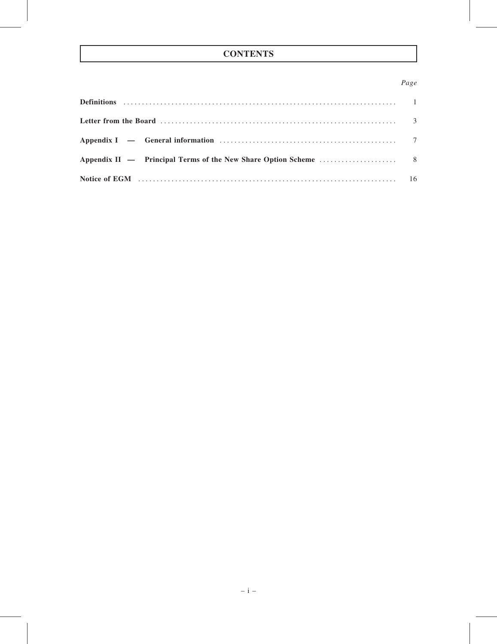# **CONTENTS**

# Page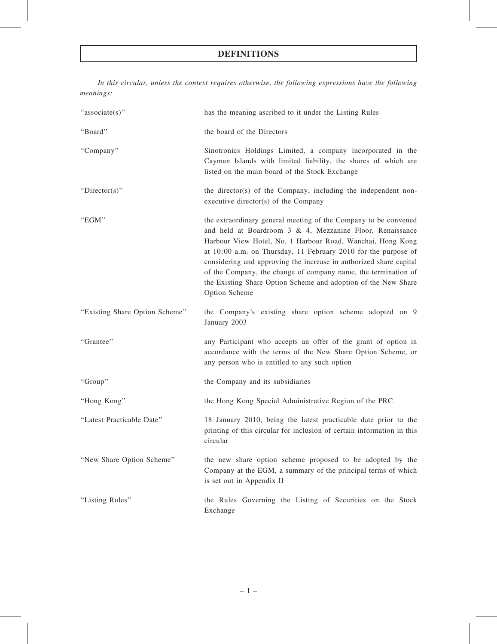# DEFINITIONS

In this circular, unless the context requires otherwise, the following expressions have the following meanings:

| "associate(s)"                 | has the meaning ascribed to it under the Listing Rules                                                                                                                                                                                                                                                                                                                                                                                                                                  |
|--------------------------------|-----------------------------------------------------------------------------------------------------------------------------------------------------------------------------------------------------------------------------------------------------------------------------------------------------------------------------------------------------------------------------------------------------------------------------------------------------------------------------------------|
| "Board"                        | the board of the Directors                                                                                                                                                                                                                                                                                                                                                                                                                                                              |
| "Company"                      | Sinotronics Holdings Limited, a company incorporated in the<br>Cayman Islands with limited liability, the shares of which are<br>listed on the main board of the Stock Exchange                                                                                                                                                                                                                                                                                                         |
| "Director(s)"                  | the director(s) of the Company, including the independent non-<br>executive director(s) of the Company                                                                                                                                                                                                                                                                                                                                                                                  |
| "EGM"                          | the extraordinary general meeting of the Company to be convened<br>and held at Boardroom 3 & 4, Mezzanine Floor, Renaissance<br>Harbour View Hotel, No. 1 Harbour Road, Wanchai, Hong Kong<br>at 10:00 a.m. on Thursday, 11 February 2010 for the purpose of<br>considering and approving the increase in authorized share capital<br>of the Company, the change of company name, the termination of<br>the Existing Share Option Scheme and adoption of the New Share<br>Option Scheme |
| "Existing Share Option Scheme" | the Company's existing share option scheme adopted on 9<br>January 2003                                                                                                                                                                                                                                                                                                                                                                                                                 |
| "Grantee"                      | any Participant who accepts an offer of the grant of option in<br>accordance with the terms of the New Share Option Scheme, or<br>any person who is entitled to any such option                                                                                                                                                                                                                                                                                                         |
| "Group"                        | the Company and its subsidiaries                                                                                                                                                                                                                                                                                                                                                                                                                                                        |
| "Hong Kong"                    | the Hong Kong Special Administrative Region of the PRC                                                                                                                                                                                                                                                                                                                                                                                                                                  |
| "Latest Practicable Date"      | 18 January 2010, being the latest practicable date prior to the<br>printing of this circular for inclusion of certain information in this<br>circular                                                                                                                                                                                                                                                                                                                                   |
| "New Share Option Scheme"      | the new share option scheme proposed to be adopted by the<br>Company at the EGM, a summary of the principal terms of which<br>is set out in Appendix II                                                                                                                                                                                                                                                                                                                                 |
| "Listing Rules"                | the Rules Governing the Listing of Securities on the Stock<br>Exchange                                                                                                                                                                                                                                                                                                                                                                                                                  |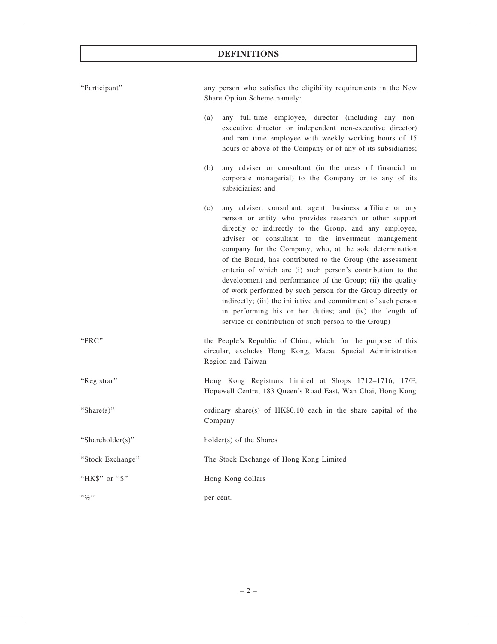# DEFINITIONS

| "Participant"    | any person who satisfies the eligibility requirements in the New<br>Share Option Scheme namely:                                                                                                                                                                                                                                                                                                                                                                                                                                                                                                                                                                                                                                                      |
|------------------|------------------------------------------------------------------------------------------------------------------------------------------------------------------------------------------------------------------------------------------------------------------------------------------------------------------------------------------------------------------------------------------------------------------------------------------------------------------------------------------------------------------------------------------------------------------------------------------------------------------------------------------------------------------------------------------------------------------------------------------------------|
|                  | any full-time employee, director (including any non-<br>(a)<br>executive director or independent non-executive director)<br>and part time employee with weekly working hours of 15<br>hours or above of the Company or of any of its subsidiaries;                                                                                                                                                                                                                                                                                                                                                                                                                                                                                                   |
|                  | any adviser or consultant (in the areas of financial or<br>(b)<br>corporate managerial) to the Company or to any of its<br>subsidiaries; and                                                                                                                                                                                                                                                                                                                                                                                                                                                                                                                                                                                                         |
|                  | any adviser, consultant, agent, business affiliate or any<br>(c)<br>person or entity who provides research or other support<br>directly or indirectly to the Group, and any employee,<br>adviser or consultant to the investment management<br>company for the Company, who, at the sole determination<br>of the Board, has contributed to the Group (the assessment<br>criteria of which are (i) such person's contribution to the<br>development and performance of the Group; (ii) the quality<br>of work performed by such person for the Group directly or<br>indirectly; (iii) the initiative and commitment of such person<br>in performing his or her duties; and (iv) the length of<br>service or contribution of such person to the Group) |
| "PRC"            | the People's Republic of China, which, for the purpose of this<br>circular, excludes Hong Kong, Macau Special Administration<br>Region and Taiwan                                                                                                                                                                                                                                                                                                                                                                                                                                                                                                                                                                                                    |
| "Registrar"      | Hong Kong Registrars Limited at Shops 1712-1716, 17/F,<br>Hopewell Centre, 183 Queen's Road East, Wan Chai, Hong Kong                                                                                                                                                                                                                                                                                                                                                                                                                                                                                                                                                                                                                                |
| "Share $(s)$ "   | ordinary share(s) of HK\$0.10 each in the share capital of the<br>Company                                                                                                                                                                                                                                                                                                                                                                                                                                                                                                                                                                                                                                                                            |
| "Shareholder(s)" | holder(s) of the Shares                                                                                                                                                                                                                                                                                                                                                                                                                                                                                                                                                                                                                                                                                                                              |
| "Stock Exchange" | The Stock Exchange of Hong Kong Limited                                                                                                                                                                                                                                                                                                                                                                                                                                                                                                                                                                                                                                                                                                              |
| "HK\$" or "\$"   | Hong Kong dollars                                                                                                                                                                                                                                                                                                                                                                                                                                                                                                                                                                                                                                                                                                                                    |
| $``\%"$          | per cent.                                                                                                                                                                                                                                                                                                                                                                                                                                                                                                                                                                                                                                                                                                                                            |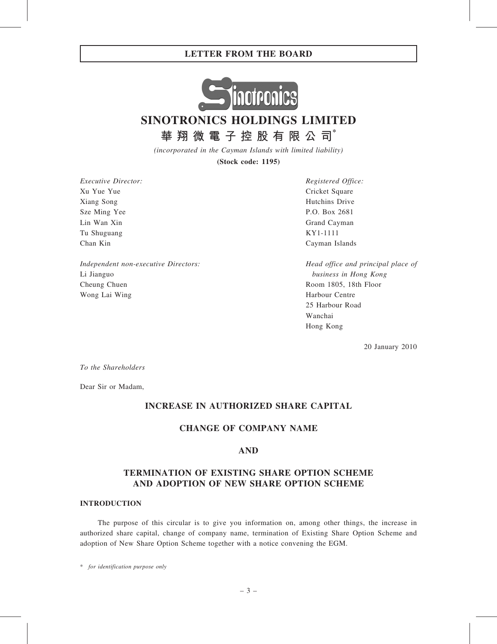

SINOTRONICS HOLDINGS LIMITED

華 翔 微 電 子 控 股 有 限 公 司 $^*$ 

(incorporated in the Cayman Islands with limited liability)

(Stock code: 1195)

Executive Director: Xu Yue Yue Xiang Song Sze Ming Yee Lin Wan Xin Tu Shuguang Chan Kin

Independent non-executive Directors: Li Jianguo Cheung Chuen Wong Lai Wing

Registered Office: Cricket Square Hutchins Drive P.O. Box 2681 Grand Cayman KY1-1111 Cayman Islands

Head office and principal place of business in Hong Kong Room 1805, 18th Floor Harbour Centre 25 Harbour Road Wanchai Hong Kong

20 January 2010

To the Shareholders

Dear Sir or Madam,

## INCREASE IN AUTHORIZED SHARE CAPITAL

# CHANGE OF COMPANY NAME

## AND

# TERMINATION OF EXISTING SHARE OPTION SCHEME AND ADOPTION OF NEW SHARE OPTION SCHEME

#### INTRODUCTION

The purpose of this circular is to give you information on, among other things, the increase in authorized share capital, change of company name, termination of Existing Share Option Scheme and adoption of New Share Option Scheme together with a notice convening the EGM.

\* for identification purpose only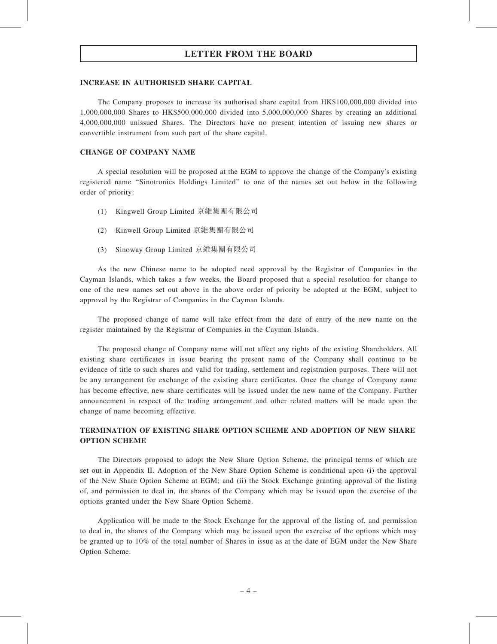#### INCREASE IN AUTHORISED SHARE CAPITAL

The Company proposes to increase its authorised share capital from HK\$100,000,000 divided into 1,000,000,000 Shares to HK\$500,000,000 divided into 5,000,000,000 Shares by creating an additional 4,000,000,000 unissued Shares. The Directors have no present intention of issuing new shares or convertible instrument from such part of the share capital.

#### CHANGE OF COMPANY NAME

A special resolution will be proposed at the EGM to approve the change of the Company's existing registered name ''Sinotronics Holdings Limited'' to one of the names set out below in the following order of priority:

- (1) Kingwell Group Limited 京維集團有限公司
- (2) Kinwell Group Limited 京維集團有限公司
- (3) Sinoway Group Limited 京維集團有限公司

As the new Chinese name to be adopted need approval by the Registrar of Companies in the Cayman Islands, which takes a few weeks, the Board proposed that a special resolution for change to one of the new names set out above in the above order of priority be adopted at the EGM, subject to approval by the Registrar of Companies in the Cayman Islands.

The proposed change of name will take effect from the date of entry of the new name on the register maintained by the Registrar of Companies in the Cayman Islands.

The proposed change of Company name will not affect any rights of the existing Shareholders. All existing share certificates in issue bearing the present name of the Company shall continue to be evidence of title to such shares and valid for trading, settlement and registration purposes. There will not be any arrangement for exchange of the existing share certificates. Once the change of Company name has become effective, new share certificates will be issued under the new name of the Company. Further announcement in respect of the trading arrangement and other related matters will be made upon the change of name becoming effective.

## TERMINATION OF EXISTING SHARE OPTION SCHEME AND ADOPTION OF NEW SHARE OPTION SCHEME

The Directors proposed to adopt the New Share Option Scheme, the principal terms of which are set out in Appendix II. Adoption of the New Share Option Scheme is conditional upon (i) the approval of the New Share Option Scheme at EGM; and (ii) the Stock Exchange granting approval of the listing of, and permission to deal in, the shares of the Company which may be issued upon the exercise of the options granted under the New Share Option Scheme.

Application will be made to the Stock Exchange for the approval of the listing of, and permission to deal in, the shares of the Company which may be issued upon the exercise of the options which may be granted up to 10% of the total number of Shares in issue as at the date of EGM under the New Share Option Scheme.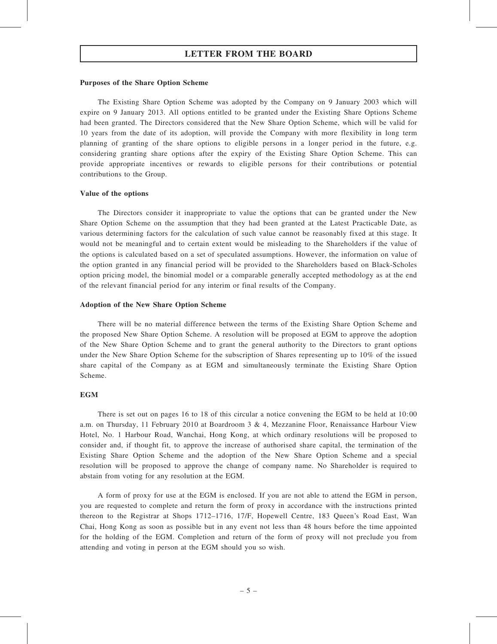#### Purposes of the Share Option Scheme

The Existing Share Option Scheme was adopted by the Company on 9 January 2003 which will expire on 9 January 2013. All options entitled to be granted under the Existing Share Options Scheme had been granted. The Directors considered that the New Share Option Scheme, which will be valid for 10 years from the date of its adoption, will provide the Company with more flexibility in long term planning of granting of the share options to eligible persons in a longer period in the future, e.g. considering granting share options after the expiry of the Existing Share Option Scheme. This can provide appropriate incentives or rewards to eligible persons for their contributions or potential contributions to the Group.

#### Value of the options

The Directors consider it inappropriate to value the options that can be granted under the New Share Option Scheme on the assumption that they had been granted at the Latest Practicable Date, as various determining factors for the calculation of such value cannot be reasonably fixed at this stage. It would not be meaningful and to certain extent would be misleading to the Shareholders if the value of the options is calculated based on a set of speculated assumptions. However, the information on value of the option granted in any financial period will be provided to the Shareholders based on Black-Scholes option pricing model, the binomial model or a comparable generally accepted methodology as at the end of the relevant financial period for any interim or final results of the Company.

#### Adoption of the New Share Option Scheme

There will be no material difference between the terms of the Existing Share Option Scheme and the proposed New Share Option Scheme. A resolution will be proposed at EGM to approve the adoption of the New Share Option Scheme and to grant the general authority to the Directors to grant options under the New Share Option Scheme for the subscription of Shares representing up to 10% of the issued share capital of the Company as at EGM and simultaneously terminate the Existing Share Option Scheme.

#### **EGM**

There is set out on pages 16 to 18 of this circular a notice convening the EGM to be held at 10:00 a.m. on Thursday, 11 February 2010 at Boardroom 3 & 4, Mezzanine Floor, Renaissance Harbour View Hotel, No. 1 Harbour Road, Wanchai, Hong Kong, at which ordinary resolutions will be proposed to consider and, if thought fit, to approve the increase of authorised share capital, the termination of the Existing Share Option Scheme and the adoption of the New Share Option Scheme and a special resolution will be proposed to approve the change of company name. No Shareholder is required to abstain from voting for any resolution at the EGM.

A form of proxy for use at the EGM is enclosed. If you are not able to attend the EGM in person, you are requested to complete and return the form of proxy in accordance with the instructions printed thereon to the Registrar at Shops 1712–1716, 17/F, Hopewell Centre, 183 Queen's Road East, Wan Chai, Hong Kong as soon as possible but in any event not less than 48 hours before the time appointed for the holding of the EGM. Completion and return of the form of proxy will not preclude you from attending and voting in person at the EGM should you so wish.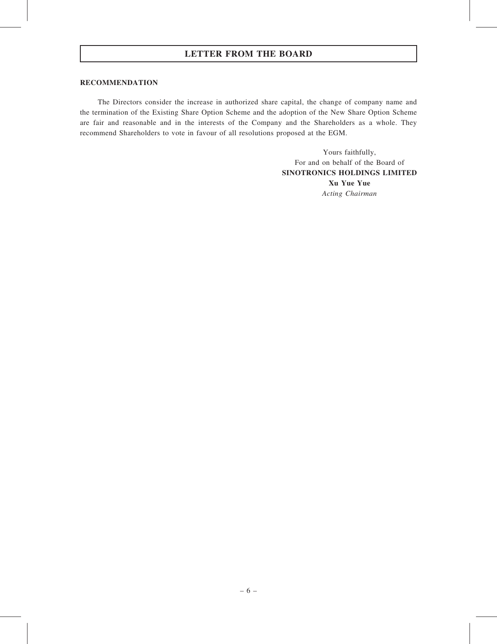#### RECOMMENDATION

The Directors consider the increase in authorized share capital, the change of company name and the termination of the Existing Share Option Scheme and the adoption of the New Share Option Scheme are fair and reasonable and in the interests of the Company and the Shareholders as a whole. They recommend Shareholders to vote in favour of all resolutions proposed at the EGM.

> Yours faithfully, For and on behalf of the Board of SINOTRONICS HOLDINGS LIMITED Xu Yue Yue Acting Chairman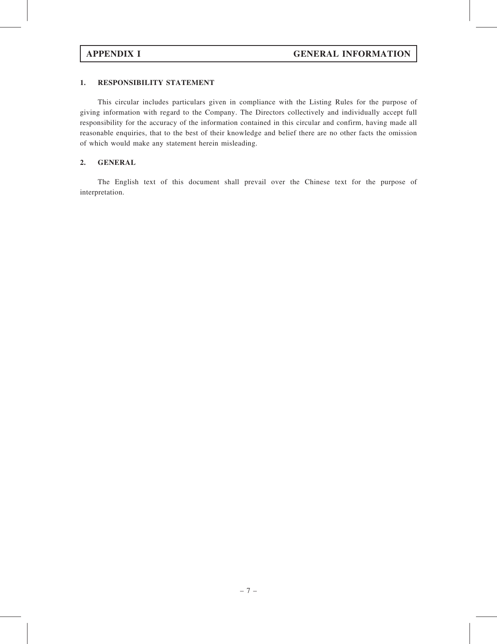## 1. RESPONSIBILITY STATEMENT

This circular includes particulars given in compliance with the Listing Rules for the purpose of giving information with regard to the Company. The Directors collectively and individually accept full responsibility for the accuracy of the information contained in this circular and confirm, having made all reasonable enquiries, that to the best of their knowledge and belief there are no other facts the omission of which would make any statement herein misleading.

## 2. GENERAL

The English text of this document shall prevail over the Chinese text for the purpose of interpretation.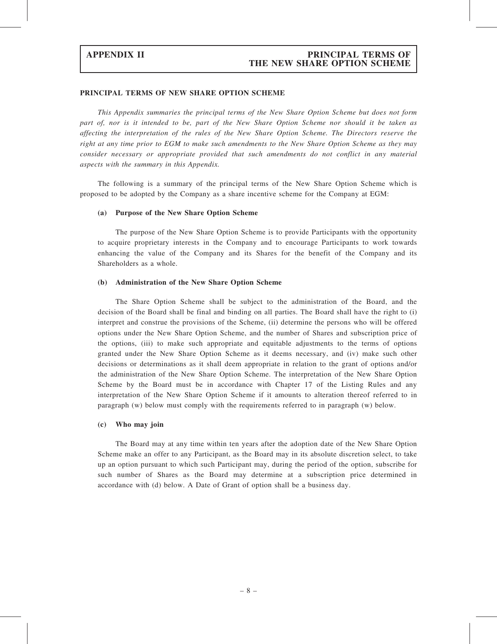## APPENDIX II PRINCIPAL TERMS OF THE NEW SHARE OPTION SCHEME

#### PRINCIPAL TERMS OF NEW SHARE OPTION SCHEME

This Appendix summaries the principal terms of the New Share Option Scheme but does not form part of, nor is it intended to be, part of the New Share Option Scheme nor should it be taken as affecting the interpretation of the rules of the New Share Option Scheme. The Directors reserve the right at any time prior to EGM to make such amendments to the New Share Option Scheme as they may consider necessary or appropriate provided that such amendments do not conflict in any material aspects with the summary in this Appendix.

The following is a summary of the principal terms of the New Share Option Scheme which is proposed to be adopted by the Company as a share incentive scheme for the Company at EGM:

#### (a) Purpose of the New Share Option Scheme

The purpose of the New Share Option Scheme is to provide Participants with the opportunity to acquire proprietary interests in the Company and to encourage Participants to work towards enhancing the value of the Company and its Shares for the benefit of the Company and its Shareholders as a whole.

#### (b) Administration of the New Share Option Scheme

The Share Option Scheme shall be subject to the administration of the Board, and the decision of the Board shall be final and binding on all parties. The Board shall have the right to (i) interpret and construe the provisions of the Scheme, (ii) determine the persons who will be offered options under the New Share Option Scheme, and the number of Shares and subscription price of the options, (iii) to make such appropriate and equitable adjustments to the terms of options granted under the New Share Option Scheme as it deems necessary, and (iv) make such other decisions or determinations as it shall deem appropriate in relation to the grant of options and/or the administration of the New Share Option Scheme. The interpretation of the New Share Option Scheme by the Board must be in accordance with Chapter 17 of the Listing Rules and any interpretation of the New Share Option Scheme if it amounts to alteration thereof referred to in paragraph (w) below must comply with the requirements referred to in paragraph (w) below.

#### (c) Who may join

The Board may at any time within ten years after the adoption date of the New Share Option Scheme make an offer to any Participant, as the Board may in its absolute discretion select, to take up an option pursuant to which such Participant may, during the period of the option, subscribe for such number of Shares as the Board may determine at a subscription price determined in accordance with (d) below. A Date of Grant of option shall be a business day.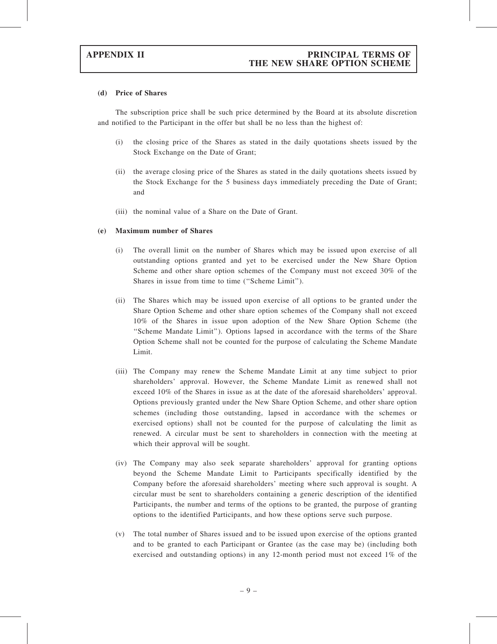#### (d) Price of Shares

The subscription price shall be such price determined by the Board at its absolute discretion and notified to the Participant in the offer but shall be no less than the highest of:

- (i) the closing price of the Shares as stated in the daily quotations sheets issued by the Stock Exchange on the Date of Grant;
- (ii) the average closing price of the Shares as stated in the daily quotations sheets issued by the Stock Exchange for the 5 business days immediately preceding the Date of Grant; and
- (iii) the nominal value of a Share on the Date of Grant.

#### (e) Maximum number of Shares

- (i) The overall limit on the number of Shares which may be issued upon exercise of all outstanding options granted and yet to be exercised under the New Share Option Scheme and other share option schemes of the Company must not exceed 30% of the Shares in issue from time to time (''Scheme Limit'').
- (ii) The Shares which may be issued upon exercise of all options to be granted under the Share Option Scheme and other share option schemes of the Company shall not exceed 10% of the Shares in issue upon adoption of the New Share Option Scheme (the ''Scheme Mandate Limit''). Options lapsed in accordance with the terms of the Share Option Scheme shall not be counted for the purpose of calculating the Scheme Mandate Limit.
- (iii) The Company may renew the Scheme Mandate Limit at any time subject to prior shareholders' approval. However, the Scheme Mandate Limit as renewed shall not exceed 10% of the Shares in issue as at the date of the aforesaid shareholders' approval. Options previously granted under the New Share Option Scheme, and other share option schemes (including those outstanding, lapsed in accordance with the schemes or exercised options) shall not be counted for the purpose of calculating the limit as renewed. A circular must be sent to shareholders in connection with the meeting at which their approval will be sought.
- (iv) The Company may also seek separate shareholders' approval for granting options beyond the Scheme Mandate Limit to Participants specifically identified by the Company before the aforesaid shareholders' meeting where such approval is sought. A circular must be sent to shareholders containing a generic description of the identified Participants, the number and terms of the options to be granted, the purpose of granting options to the identified Participants, and how these options serve such purpose.
- (v) The total number of Shares issued and to be issued upon exercise of the options granted and to be granted to each Participant or Grantee (as the case may be) (including both exercised and outstanding options) in any 12-month period must not exceed 1% of the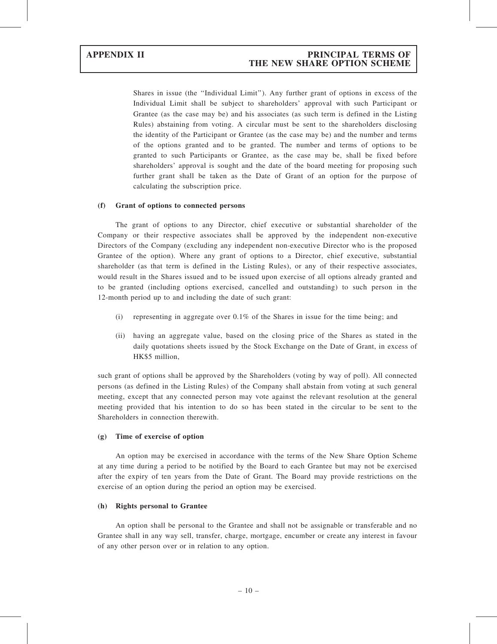Shares in issue (the ''Individual Limit''). Any further grant of options in excess of the Individual Limit shall be subject to shareholders' approval with such Participant or Grantee (as the case may be) and his associates (as such term is defined in the Listing Rules) abstaining from voting. A circular must be sent to the shareholders disclosing the identity of the Participant or Grantee (as the case may be) and the number and terms of the options granted and to be granted. The number and terms of options to be granted to such Participants or Grantee, as the case may be, shall be fixed before shareholders' approval is sought and the date of the board meeting for proposing such further grant shall be taken as the Date of Grant of an option for the purpose of calculating the subscription price.

#### (f) Grant of options to connected persons

The grant of options to any Director, chief executive or substantial shareholder of the Company or their respective associates shall be approved by the independent non-executive Directors of the Company (excluding any independent non-executive Director who is the proposed Grantee of the option). Where any grant of options to a Director, chief executive, substantial shareholder (as that term is defined in the Listing Rules), or any of their respective associates, would result in the Shares issued and to be issued upon exercise of all options already granted and to be granted (including options exercised, cancelled and outstanding) to such person in the 12-month period up to and including the date of such grant:

- (i) representing in aggregate over  $0.1\%$  of the Shares in issue for the time being; and
- (ii) having an aggregate value, based on the closing price of the Shares as stated in the daily quotations sheets issued by the Stock Exchange on the Date of Grant, in excess of HK\$5 million,

such grant of options shall be approved by the Shareholders (voting by way of poll). All connected persons (as defined in the Listing Rules) of the Company shall abstain from voting at such general meeting, except that any connected person may vote against the relevant resolution at the general meeting provided that his intention to do so has been stated in the circular to be sent to the Shareholders in connection therewith.

#### (g) Time of exercise of option

An option may be exercised in accordance with the terms of the New Share Option Scheme at any time during a period to be notified by the Board to each Grantee but may not be exercised after the expiry of ten years from the Date of Grant. The Board may provide restrictions on the exercise of an option during the period an option may be exercised.

#### (h) Rights personal to Grantee

An option shall be personal to the Grantee and shall not be assignable or transferable and no Grantee shall in any way sell, transfer, charge, mortgage, encumber or create any interest in favour of any other person over or in relation to any option.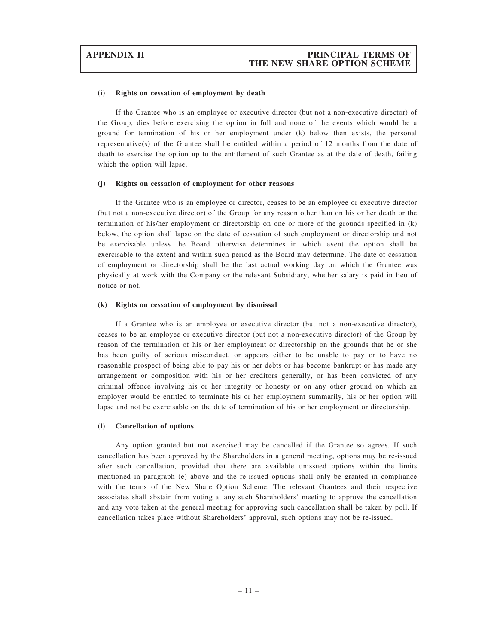# APPENDIX II PRINCIPAL TERMS OF THE NEW SHARE OPTION SCHEME

#### (i) Rights on cessation of employment by death

If the Grantee who is an employee or executive director (but not a non-executive director) of the Group, dies before exercising the option in full and none of the events which would be a ground for termination of his or her employment under (k) below then exists, the personal representative(s) of the Grantee shall be entitled within a period of 12 months from the date of death to exercise the option up to the entitlement of such Grantee as at the date of death, failing which the option will lapse.

#### (j) Rights on cessation of employment for other reasons

If the Grantee who is an employee or director, ceases to be an employee or executive director (but not a non-executive director) of the Group for any reason other than on his or her death or the termination of his/her employment or directorship on one or more of the grounds specified in (k) below, the option shall lapse on the date of cessation of such employment or directorship and not be exercisable unless the Board otherwise determines in which event the option shall be exercisable to the extent and within such period as the Board may determine. The date of cessation of employment or directorship shall be the last actual working day on which the Grantee was physically at work with the Company or the relevant Subsidiary, whether salary is paid in lieu of notice or not.

#### (k) Rights on cessation of employment by dismissal

If a Grantee who is an employee or executive director (but not a non-executive director), ceases to be an employee or executive director (but not a non-executive director) of the Group by reason of the termination of his or her employment or directorship on the grounds that he or she has been guilty of serious misconduct, or appears either to be unable to pay or to have no reasonable prospect of being able to pay his or her debts or has become bankrupt or has made any arrangement or composition with his or her creditors generally, or has been convicted of any criminal offence involving his or her integrity or honesty or on any other ground on which an employer would be entitled to terminate his or her employment summarily, his or her option will lapse and not be exercisable on the date of termination of his or her employment or directorship.

#### (l) Cancellation of options

Any option granted but not exercised may be cancelled if the Grantee so agrees. If such cancellation has been approved by the Shareholders in a general meeting, options may be re-issued after such cancellation, provided that there are available unissued options within the limits mentioned in paragraph (e) above and the re-issued options shall only be granted in compliance with the terms of the New Share Option Scheme. The relevant Grantees and their respective associates shall abstain from voting at any such Shareholders' meeting to approve the cancellation and any vote taken at the general meeting for approving such cancellation shall be taken by poll. If cancellation takes place without Shareholders' approval, such options may not be re-issued.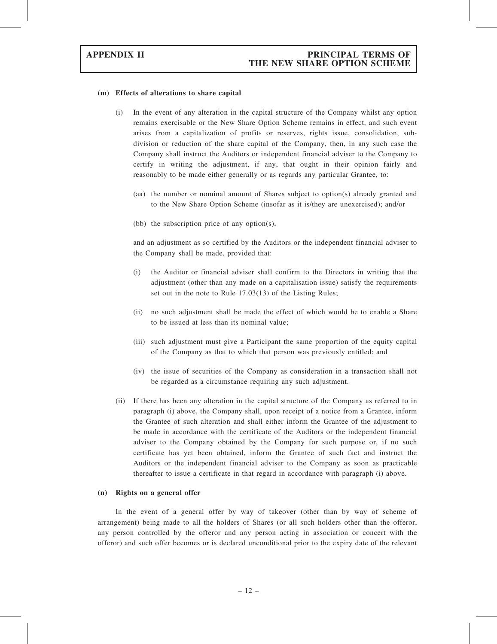#### (m) Effects of alterations to share capital

- (i) In the event of any alteration in the capital structure of the Company whilst any option remains exercisable or the New Share Option Scheme remains in effect, and such event arises from a capitalization of profits or reserves, rights issue, consolidation, subdivision or reduction of the share capital of the Company, then, in any such case the Company shall instruct the Auditors or independent financial adviser to the Company to certify in writing the adjustment, if any, that ought in their opinion fairly and reasonably to be made either generally or as regards any particular Grantee, to:
	- (aa) the number or nominal amount of Shares subject to option(s) already granted and to the New Share Option Scheme (insofar as it is/they are unexercised); and/or
	- (bb) the subscription price of any option(s),

and an adjustment as so certified by the Auditors or the independent financial adviser to the Company shall be made, provided that:

- (i) the Auditor or financial adviser shall confirm to the Directors in writing that the adjustment (other than any made on a capitalisation issue) satisfy the requirements set out in the note to Rule 17.03(13) of the Listing Rules;
- (ii) no such adjustment shall be made the effect of which would be to enable a Share to be issued at less than its nominal value;
- (iii) such adjustment must give a Participant the same proportion of the equity capital of the Company as that to which that person was previously entitled; and
- (iv) the issue of securities of the Company as consideration in a transaction shall not be regarded as a circumstance requiring any such adjustment.
- (ii) If there has been any alteration in the capital structure of the Company as referred to in paragraph (i) above, the Company shall, upon receipt of a notice from a Grantee, inform the Grantee of such alteration and shall either inform the Grantee of the adjustment to be made in accordance with the certificate of the Auditors or the independent financial adviser to the Company obtained by the Company for such purpose or, if no such certificate has yet been obtained, inform the Grantee of such fact and instruct the Auditors or the independent financial adviser to the Company as soon as practicable thereafter to issue a certificate in that regard in accordance with paragraph (i) above.

#### (n) Rights on a general offer

In the event of a general offer by way of takeover (other than by way of scheme of arrangement) being made to all the holders of Shares (or all such holders other than the offeror, any person controlled by the offeror and any person acting in association or concert with the offeror) and such offer becomes or is declared unconditional prior to the expiry date of the relevant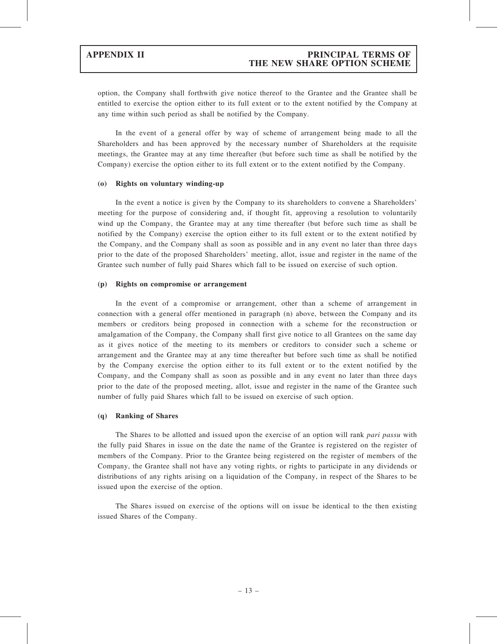option, the Company shall forthwith give notice thereof to the Grantee and the Grantee shall be entitled to exercise the option either to its full extent or to the extent notified by the Company at any time within such period as shall be notified by the Company.

In the event of a general offer by way of scheme of arrangement being made to all the Shareholders and has been approved by the necessary number of Shareholders at the requisite meetings, the Grantee may at any time thereafter (but before such time as shall be notified by the Company) exercise the option either to its full extent or to the extent notified by the Company.

#### (o) Rights on voluntary winding-up

In the event a notice is given by the Company to its shareholders to convene a Shareholders' meeting for the purpose of considering and, if thought fit, approving a resolution to voluntarily wind up the Company, the Grantee may at any time thereafter (but before such time as shall be notified by the Company) exercise the option either to its full extent or to the extent notified by the Company, and the Company shall as soon as possible and in any event no later than three days prior to the date of the proposed Shareholders' meeting, allot, issue and register in the name of the Grantee such number of fully paid Shares which fall to be issued on exercise of such option.

#### (p) Rights on compromise or arrangement

In the event of a compromise or arrangement, other than a scheme of arrangement in connection with a general offer mentioned in paragraph (n) above, between the Company and its members or creditors being proposed in connection with a scheme for the reconstruction or amalgamation of the Company, the Company shall first give notice to all Grantees on the same day as it gives notice of the meeting to its members or creditors to consider such a scheme or arrangement and the Grantee may at any time thereafter but before such time as shall be notified by the Company exercise the option either to its full extent or to the extent notified by the Company, and the Company shall as soon as possible and in any event no later than three days prior to the date of the proposed meeting, allot, issue and register in the name of the Grantee such number of fully paid Shares which fall to be issued on exercise of such option.

#### (q) Ranking of Shares

The Shares to be allotted and issued upon the exercise of an option will rank *pari passu* with the fully paid Shares in issue on the date the name of the Grantee is registered on the register of members of the Company. Prior to the Grantee being registered on the register of members of the Company, the Grantee shall not have any voting rights, or rights to participate in any dividends or distributions of any rights arising on a liquidation of the Company, in respect of the Shares to be issued upon the exercise of the option.

The Shares issued on exercise of the options will on issue be identical to the then existing issued Shares of the Company.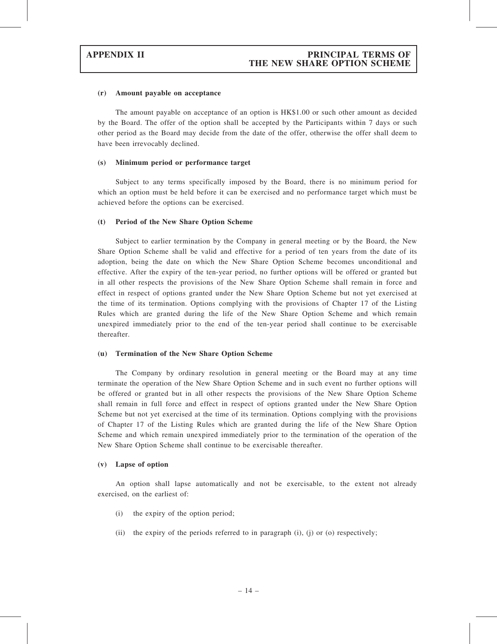#### (r) Amount payable on acceptance

The amount payable on acceptance of an option is HK\$1.00 or such other amount as decided by the Board. The offer of the option shall be accepted by the Participants within 7 days or such other period as the Board may decide from the date of the offer, otherwise the offer shall deem to have been irrevocably declined.

#### (s) Minimum period or performance target

Subject to any terms specifically imposed by the Board, there is no minimum period for which an option must be held before it can be exercised and no performance target which must be achieved before the options can be exercised.

#### (t) Period of the New Share Option Scheme

Subject to earlier termination by the Company in general meeting or by the Board, the New Share Option Scheme shall be valid and effective for a period of ten years from the date of its adoption, being the date on which the New Share Option Scheme becomes unconditional and effective. After the expiry of the ten-year period, no further options will be offered or granted but in all other respects the provisions of the New Share Option Scheme shall remain in force and effect in respect of options granted under the New Share Option Scheme but not yet exercised at the time of its termination. Options complying with the provisions of Chapter 17 of the Listing Rules which are granted during the life of the New Share Option Scheme and which remain unexpired immediately prior to the end of the ten-year period shall continue to be exercisable thereafter.

#### (u) Termination of the New Share Option Scheme

The Company by ordinary resolution in general meeting or the Board may at any time terminate the operation of the New Share Option Scheme and in such event no further options will be offered or granted but in all other respects the provisions of the New Share Option Scheme shall remain in full force and effect in respect of options granted under the New Share Option Scheme but not yet exercised at the time of its termination. Options complying with the provisions of Chapter 17 of the Listing Rules which are granted during the life of the New Share Option Scheme and which remain unexpired immediately prior to the termination of the operation of the New Share Option Scheme shall continue to be exercisable thereafter.

#### (v) Lapse of option

An option shall lapse automatically and not be exercisable, to the extent not already exercised, on the earliest of:

- (i) the expiry of the option period;
- (ii) the expiry of the periods referred to in paragraph (i), (j) or (o) respectively;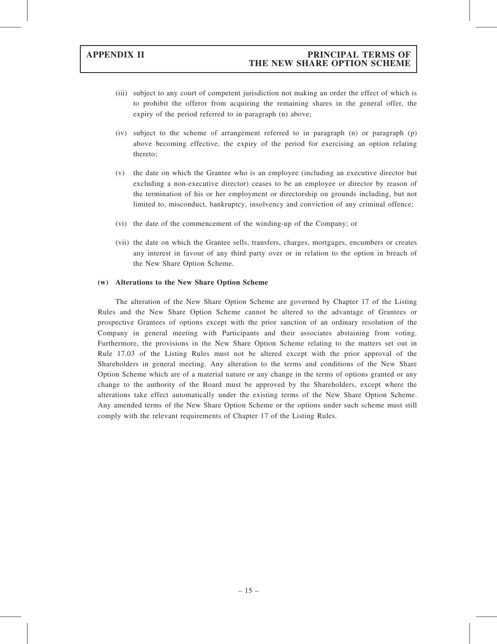- (iii) subject to any court of competent jurisdiction not making an order the effect of which is to prohibit the offeror from acquiring the remaining shares in the general offer, the expiry of the period referred to in paragraph (n) above;
- (iv) subject to the scheme of arrangement referred to in paragraph (n) or paragraph (p) above becoming effective, the expiry of the period for exercising an option relating thereto;
- (v) the date on which the Grantee who is an employee (including an executive director but excluding a non-executive director) ceases to be an employee or director by reason of the termination of his or her employment or directorship on grounds including, but not limited to, misconduct, bankruptcy, insolvency and conviction of any criminal offence;
- (vi) the date of the commencement of the winding-up of the Company; or
- (vii) the date on which the Grantee sells, transfers, charges, mortgages, encumbers or creates any interest in favour of any third party over or in relation to the option in breach of the New Share Option Scheme.

#### (w) Alterations to the New Share Option Scheme

The alteration of the New Share Option Scheme are governed by Chapter 17 of the Listing Rules and the New Share Option Scheme cannot be altered to the advantage of Grantees or prospective Grantees of options except with the prior sanction of an ordinary resolution of the Company in general meeting with Participants and their associates abstaining from voting. Furthermore, the provisions in the New Share Option Scheme relating to the matters set out in Rule 17.03 of the Listing Rules must not be altered except with the prior approval of the Shareholders in general meeting. Any alteration to the terms and conditions of the New Share Option Scheme which are of a material nature or any change in the terms of options granted or any change to the authority of the Board must be approved by the Shareholders, except where the alterations take effect automatically under the existing terms of the New Share Option Scheme. Any amended terms of the New Share Option Scheme or the options under such scheme must still comply with the relevant requirements of Chapter 17 of the Listing Rules.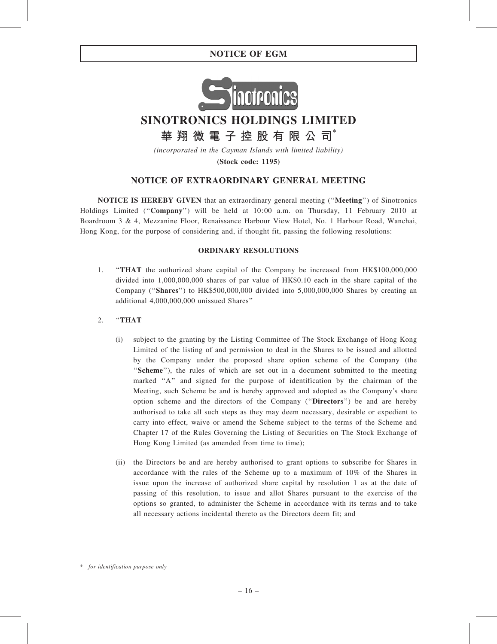# NOTICE OF EGM



# SINOTRONICS HOLDINGS LIMITED

華 翔 微 電 子 控 股 有 限 公 司 $^*$ 

(incorporated in the Cayman Islands with limited liability)

(Stock code: 1195)

# NOTICE OF EXTRAORDINARY GENERAL MEETING

NOTICE IS HEREBY GIVEN that an extraordinary general meeting (''Meeting'') of Sinotronics Holdings Limited (''Company'') will be held at 10:00 a.m. on Thursday, 11 February 2010 at Boardroom 3 & 4, Mezzanine Floor, Renaissance Harbour View Hotel, No. 1 Harbour Road, Wanchai, Hong Kong, for the purpose of considering and, if thought fit, passing the following resolutions:

#### ORDINARY RESOLUTIONS

- 1. ''THAT the authorized share capital of the Company be increased from HK\$100,000,000 divided into 1,000,000,000 shares of par value of HK\$0.10 each in the share capital of the Company (''Shares'') to HK\$500,000,000 divided into 5,000,000,000 Shares by creating an additional 4,000,000,000 unissued Shares''
- 2. ''THAT
	- (i) subject to the granting by the Listing Committee of The Stock Exchange of Hong Kong Limited of the listing of and permission to deal in the Shares to be issued and allotted by the Company under the proposed share option scheme of the Company (the ''Scheme''), the rules of which are set out in a document submitted to the meeting marked "A" and signed for the purpose of identification by the chairman of the Meeting, such Scheme be and is hereby approved and adopted as the Company's share option scheme and the directors of the Company (''Directors'') be and are hereby authorised to take all such steps as they may deem necessary, desirable or expedient to carry into effect, waive or amend the Scheme subject to the terms of the Scheme and Chapter 17 of the Rules Governing the Listing of Securities on The Stock Exchange of Hong Kong Limited (as amended from time to time);
	- (ii) the Directors be and are hereby authorised to grant options to subscribe for Shares in accordance with the rules of the Scheme up to a maximum of 10% of the Shares in issue upon the increase of authorized share capital by resolution 1 as at the date of passing of this resolution, to issue and allot Shares pursuant to the exercise of the options so granted, to administer the Scheme in accordance with its terms and to take all necessary actions incidental thereto as the Directors deem fit; and

<sup>\*</sup> for identification purpose only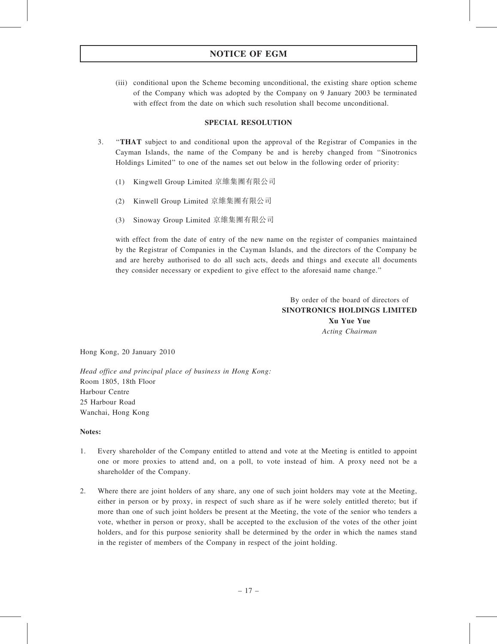# NOTICE OF EGM

(iii) conditional upon the Scheme becoming unconditional, the existing share option scheme of the Company which was adopted by the Company on 9 January 2003 be terminated with effect from the date on which such resolution shall become unconditional.

## SPECIAL RESOLUTION

- 3. ''THAT subject to and conditional upon the approval of the Registrar of Companies in the Cayman Islands, the name of the Company be and is hereby changed from ''Sinotronics Holdings Limited'' to one of the names set out below in the following order of priority:
	- (1) Kingwell Group Limited 京維集團有限公司
	- (2) Kinwell Group Limited 京維集團有限公司
	- (3) Sinoway Group Limited 京維集團有限公司

with effect from the date of entry of the new name on the register of companies maintained by the Registrar of Companies in the Cayman Islands, and the directors of the Company be and are hereby authorised to do all such acts, deeds and things and execute all documents they consider necessary or expedient to give effect to the aforesaid name change.''

> By order of the board of directors of SINOTRONICS HOLDINGS LIMITED Xu Yue Yue Acting Chairman

Hong Kong, 20 January 2010

Head office and principal place of business in Hong Kong: Room 1805, 18th Floor Harbour Centre 25 Harbour Road Wanchai, Hong Kong

#### Notes:

- 1. Every shareholder of the Company entitled to attend and vote at the Meeting is entitled to appoint one or more proxies to attend and, on a poll, to vote instead of him. A proxy need not be a shareholder of the Company.
- 2. Where there are joint holders of any share, any one of such joint holders may vote at the Meeting, either in person or by proxy, in respect of such share as if he were solely entitled thereto; but if more than one of such joint holders be present at the Meeting, the vote of the senior who tenders a vote, whether in person or proxy, shall be accepted to the exclusion of the votes of the other joint holders, and for this purpose seniority shall be determined by the order in which the names stand in the register of members of the Company in respect of the joint holding.